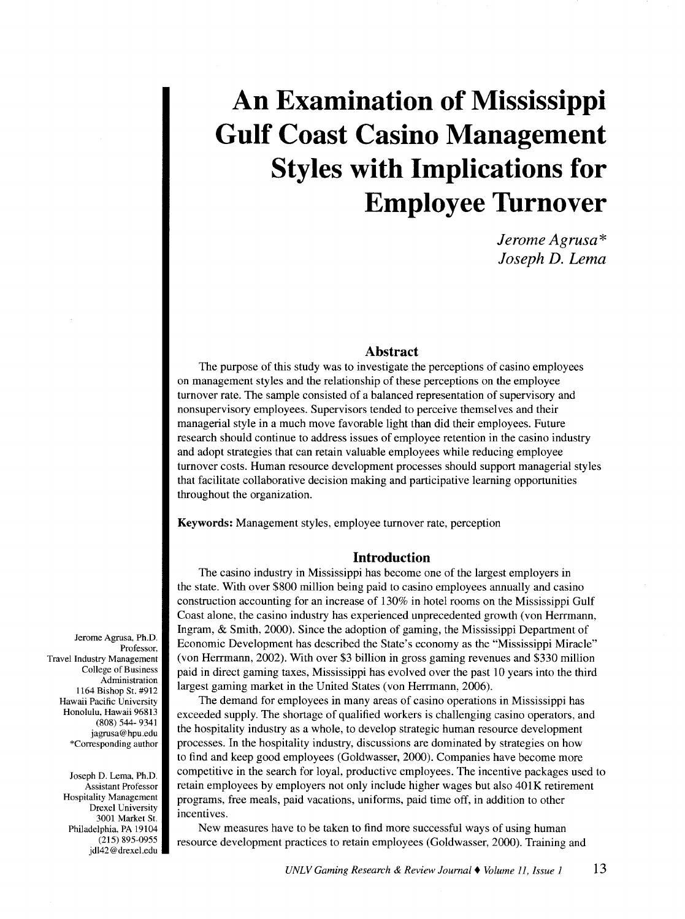*Jerome Agrusa\* Joseph D. Lema* 

#### **Abstract**

The purpose of this study was to investigate the perceptions of casino employees on management styles and the relationship of these perceptions on the employee turnover rate. The sample consisted of a balanced representation of supervisory and nonsupervisory employees. Supervisors tended to perceive themselves and their managerial style in a much move favorable light than did their employees. Future research should continue to address issues of employee retention in the casino industry and adopt strategies that can retain valuable employees while reducing employee turnover costs. Human resource development processes should support managerial styles that facilitate collaborative decision making and participative learning opportunities throughout the organization.

Keywords: Management styles, employee turnover rate, perception

#### **Introduction**

The casino industry in Mississippi has become one of the largest employers in the state. With over \$800 million being paid to casino employees annually and casino construction accounting for an increase of 130% in hotel rooms on the Mississippi Gulf Coast alone, the casino industry has experienced unprecedented growth (von Herrmann, Ingram, & Smith, 2000). Since the adoption of gaming, the Mississippi Department of Economic Development has described the State's economy as the "Mississippi Miracle" (von Herrmann, 2002). With over \$3 billion in gross gaming revenues and \$330 million paid in direct gaming taxes, Mississippi has evolved over the past 10 years into the third largest gaming market in the United States (von Herrmann, 2006).

The demand for employees in many areas of casino operations in Mississippi has exceeded supply. The shortage of qualified workers is challenging casino operators, and the hospitality industry as a whole, to develop strategic human resource development processes. In the hospitality industry, discussions are dominated by strategies on how to find and keep good employees (Goldwasser, 2000). Companies have become more competitive in the search for loyal, productive employees. The incentive packages used to retain employees by employers not only include higher wages but also 401K retirement programs, free meals, paid vacations, uniforms, paid time off, in addition to other incentives.

New measures have to be taken to find more successful ways of using human resource development practices to retain employees (Goldwasser, 2000). Training and

Jerome Agrusa, Ph.D. Professor, Travel Industry Management College of Business Administration 1164 Bishop St. #912 Hawaii Pacific University Honolulu, Hawaii 96813 (808) 544- 9341 jagrusa@hpu.edu \*Corresponding author

> Joseph D. Lema, Ph.D. Assistant Professor Hospitality Management Drexel University 3001 Market St. Philadelphia, PA 19104 (215) 895-0955 jdl42 @drexel.edu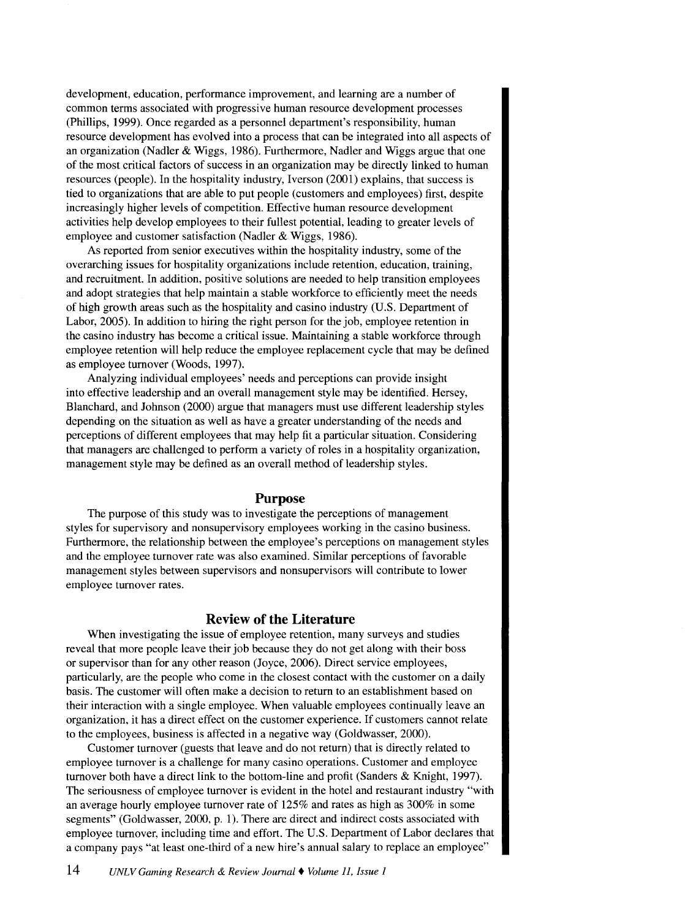development, education, performance improvement, and learning are a number of common terms associated with progressive human resource development processes (Phillips, 1999). Once regarded as a personnel department's responsibility, human resource development has evolved into a process that can be integrated into all aspects of an organization (Nadler & Wiggs, 1986). Furthermore, Nadler and Wiggs argue that one of the most critical factors of success in an organization may be directly linked to human resources (people). In the hospitality industry, Iverson (2001) explains, that success is tied to organizations that are able to put people (customers and employees) first, despite increasingly higher levels of competition. Effective human resource development activities help develop employees to their fullest potential, leading to greater levels of employee and customer satisfaction (Nadler & Wiggs, 1986).

As reported from senior executives within the hospitality industry, some of the overarching issues for hospitality organizations include retention, education, training, and recruitment. In addition, positive solutions are needed to help transition employees and adopt strategies that help maintain a stable workforce to efficiently meet the needs of high growth areas such as the hospitality and casino industry (U.S. Department of Labor, 2005). In addition to hiring the right person for the job, employee retention in the casino industry has become a critical issue. Maintaining a stable workforce through employee retention will help reduce the employee replacement cycle that may be defined as employee turnover (Woods, 1997).

Analyzing individual employees' needs and perceptions can provide insight into effective leadership and an overall management style may be identified. Hersey, Blanchard, and Johnson (2000) argue that managers must use different leadership styles depending on the situation as well as have a greater understanding of the needs and perceptions of different employees that may help fit a particular situation. Considering that managers are challenged to perform a variety of roles in a hospitality organization, management style may be defined as an overall method of leadership styles.

#### **Purpose**

The purpose of this study was to investigate the perceptions of management styles for supervisory and nonsupervisory employees working in the casino business. Furthermore, the relationship between the employee's perceptions on management styles and the employee turnover rate was also examined. Similar perceptions of favorable management styles between supervisors and nonsupervisors will contribute to lower employee turnover rates.

### **Review of the Literature**

When investigating the issue of employee retention, many surveys and studies reveal that more people leave their job because they do not get along with their boss or supervisor than for any other reason (Joyce, 2006). Direct service employees, particularly, are the people who come in the closest contact with the customer on a daily basis. The customer will often make a decision to return to an establishment based on their interaction with a single employee. When valuable employees continually leave an organization, it has a direct effect on the customer experience. If customers cannot relate to the employees, business is affected in a negative way (Goldwasser, 2000).

Customer turnover (guests that leave and do not return) that is directly related to employee turnover is a challenge for many casino operations. Customer and employee turnover both have a direct link to the bottom-line and profit (Sanders & Knight, 1997). The seriousness of employee turnover is evident in the hotel and restaurant industry "with an average hourly employee turnover rate of 125% and rates as high as 300% in some segments" (Goldwasser, 2000, p. 1). There are direct and indirect costs associated with employee turnover, including time and effort. The U.S. Department of Labor declares that a company pays "at least one-third of a new hire's annual salary to replace an employee"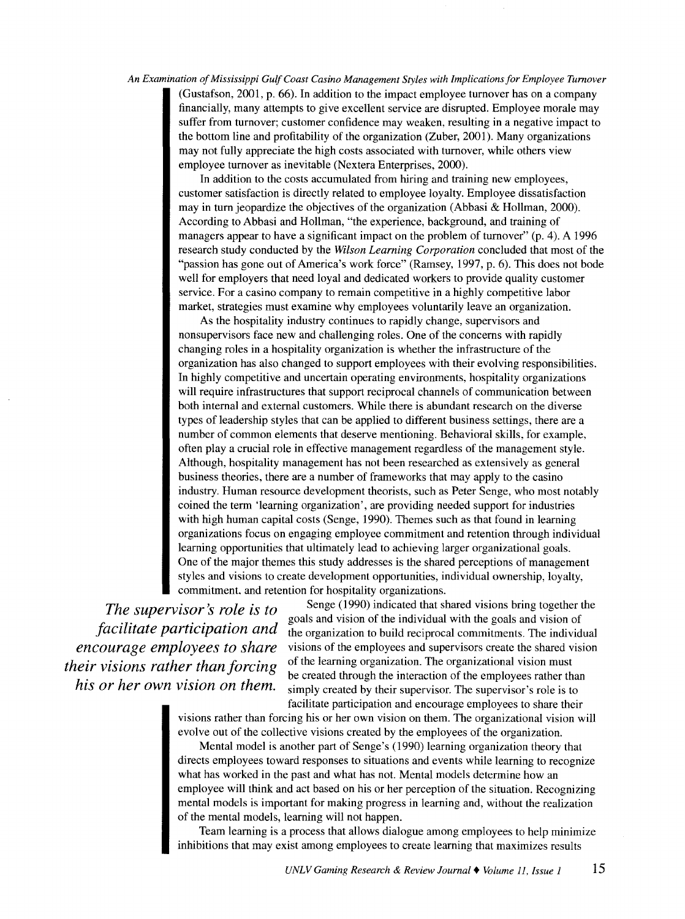*An Examination of Mississippi Gulf Coast Casino Management Styles with Implications for Employee Turnover*  (Gustafson, 2001, p. 66). In addition to the impact employee turnover has on a company financially, many attempts to give excellent service are disrupted. Employee morale may suffer from turnover; customer confidence may weaken, resulting in a negative impact to the bottom line and profitability of the organization (Zuber, 2001). Many organizations may not fully appreciate the high costs associated with turnover, while others view employee turnover as inevitable (Nextera Enterprises, 2000).

> In addition to the costs accumulated from hiring and training new employees, customer satisfaction is directly related to employee loyalty. Employee dissatisfaction may in turn jeopardize the objectives of the organization (Abbasi & Hollman, 2000). According to Abbasi and Hollman, "the experience, background, and training of managers appear to have a significant impact on the problem of turnover" (p. 4). A 1996 research study conducted by the *Wilson Learning Corporation* concluded that most of the "passion has gone out of America's work force" (Ramsey, 1997, p. 6). This does not bode well for employers that need loyal and dedicated workers to provide quality customer service. For a casino company to remain competitive in a highly competitive labor market, strategies must examine why employees voluntarily leave an organization.

As the hospitality industry continues to rapidly change, supervisors and nonsupervisors face new and challenging roles. One of the concerns with rapidly changing roles in a hospitality organization is whether the infrastructure of the organization has also changed to support employees with their evolving responsibilities. In highly competitive and uncertain operating environments, hospitality organizations will require infrastructures that support reciprocal channels of communication between both internal and external customers. While there is abundant research on the diverse types of leadership styles that can be applied to different business settings, there are a number of common elements that deserve mentioning. Behavioral skills, for example, often play a crucial role in effective management regardless of the management style. Although, hospitality management has not been researched as extensively as general business theories, there are a number of frameworks that may apply to the casino industry. Human resource development theorists, such as Peter Senge, who most notably coined the term 'learning organization', are providing needed support for industries with high human capital costs (Senge, 1990). Themes such as that found in learning organizations focus on engaging employee commitment and retention through individual learning opportunities that ultimately lead to achieving larger organizational goals. One of the major themes this study addresses is the shared perceptions of management styles and visions to create development opportunities, individual ownership, loyalty, commitment. and retention for hospitality organizations.

*The supervisor's role is to facilitate participation and encourage employees to share their visions rather than forcing his or her own vision on them.* 

Senge (1990) indicated that shared visions bring together the goals and vision of the individual with the goals and vision of the organization to build reciprocal commitments. The individual visions of the employees and supervisors create the shared vision of the learning organization. The organizational vision must be created through the interaction of the employees rather than simply created by their supervisor. The supervisor's role is to facilitate participation and encourage employees to share their

visions rather than forcing his or her own vision on them. The organizational vision will evolve out of the collective visions created by the employees of the organization.

Mental model is another part of Senge's (1990) learning organization theory that directs employees toward responses to situations and events while learning to recognize what has worked in the past and what has not. Mental models determine how an employee will think and act based on his or her perception of the situation. Recognizing mental models is important for making progress in learning and, without the realization of the mental models, learning will not happen.

Team learning is a process that allows dialogue among employees to help minimize inhibitions that may exist among employees to create learning that maximizes results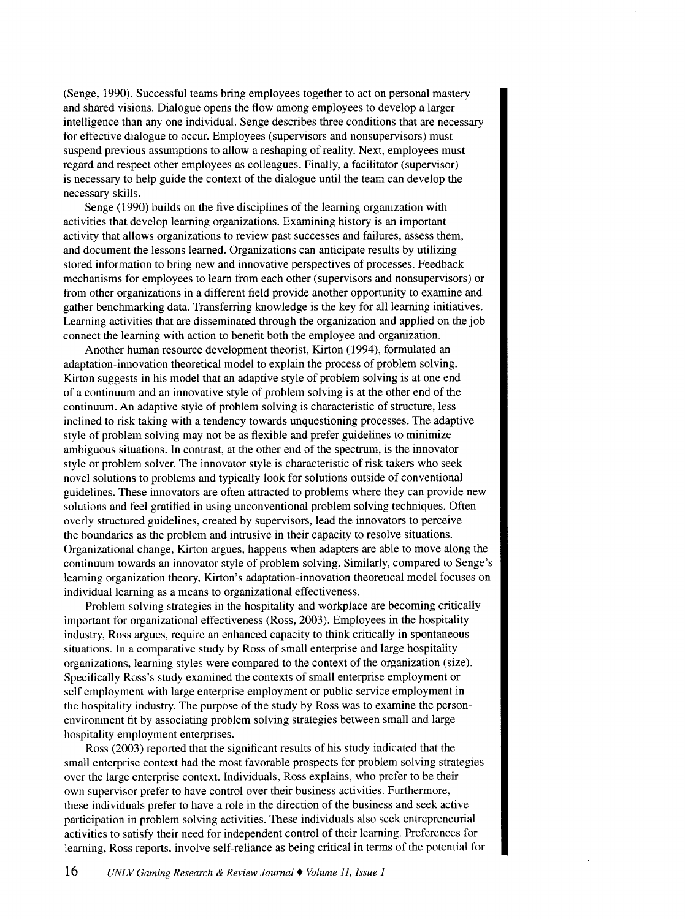(Senge, 1990). Successful teams bring employees together to act on personal mastery and shared visions. Dialogue opens the flow among employees to develop a larger intelligence than any one individual. Senge describes three conditions that are necessary for effective dialogue to occur. Employees (supervisors and nonsupervisors) must suspend previous assumptions to allow a reshaping of reality. Next, employees must regard and respect other employees as colleagues. Finally, a facilitator (supervisor) is necessary to help guide the context of the dialogue until the team can develop the necessary skills.

Senge (1990) builds on the five disciplines of the learning organization with activities that develop learning organizations. Examining history is an important activity that allows organizations to review past successes and failures, assess them, and document the lessons learned. Organizations can anticipate results by utilizing stored information to bring new and innovative perspectives of processes. Feedback mechanisms for employees to learn from each other (supervisors and nonsupervisors) or from other organizations in a different field provide another opportunity to examine and gather benchmarking data. Transferring knowledge is the key for all learning initiatives. Learning activities that are disseminated through the organization and applied on the job connect the learning with action to benefit both the employee and organization.

Another human resource development theorist, Kirton (1994), formulated an adaptation-innovation theoretical model to explain the process of problem solving. Kirton suggests in his model that an adaptive style of problem solving is at one end of a continuum and an innovative style of problem solving is at the other end of the continuum. An adaptive style of problem solving is characteristic of structure, less inclined to risk taking with a tendency towards unquestioning processes. The adaptive style of problem solving may not be as flexible and prefer guidelines to minimize ambiguous situations. In contrast, at the other end of the spectrum, is the innovator style or problem solver. The innovator style is characteristic of risk takers who seek novel solutions to problems and typically look for solutions outside of conventional guidelines. These innovators are often attracted to problems where they can provide new solutions and feel gratified in using unconventional problem solving techniques. Often overly structured guidelines, created by supervisors, lead the innovators to perceive the boundaries as the problem and intrusive in their capacity to resolve situations. Organizational change, Kirton argues, happens when adapters are able to move along the continuum towards an innovator style of problem solving. Similarly, compared to Senge's learning organization theory, Kirton's adaptation-innovation theoretical model focuses on individual learning as a means to organizational effectiveness.

Problem solving strategies in the hospitality and workplace are becoming critically important for organizational effectiveness (Ross, 2003). Employees in the hospitality industry, Ross argues, require an enhanced capacity to think critically in spontaneous situations. In a comparative study by Ross of small enterprise and large hospitality organizations, learning styles were compared to the context of the organization (size). Specifically Ross's study examined the contexts of small enterprise employment or self employment with large enterprise employment or public service employment in the hospitality industry. The purpose of the study by Ross was to examine the personenvironment fit by associating problem solving strategies between small and large hospitality employment enterprises.

Ross (2003) reported that the significant results of his study indicated that the small enterprise context had the most favorable prospects for problem solving strategies over the large enterprise context. Individuals, Ross explains, who prefer to be their own supervisor prefer to have control over their business activities. Furthermore, these individuals prefer to have a role in the direction of the business and seek active participation in problem solving activities. These individuals also seek entrepreneurial activities to satisfy their need for independent control of their learning. Preferences for learning, Ross reports, involve self-reliance as being critical in terms of the potential for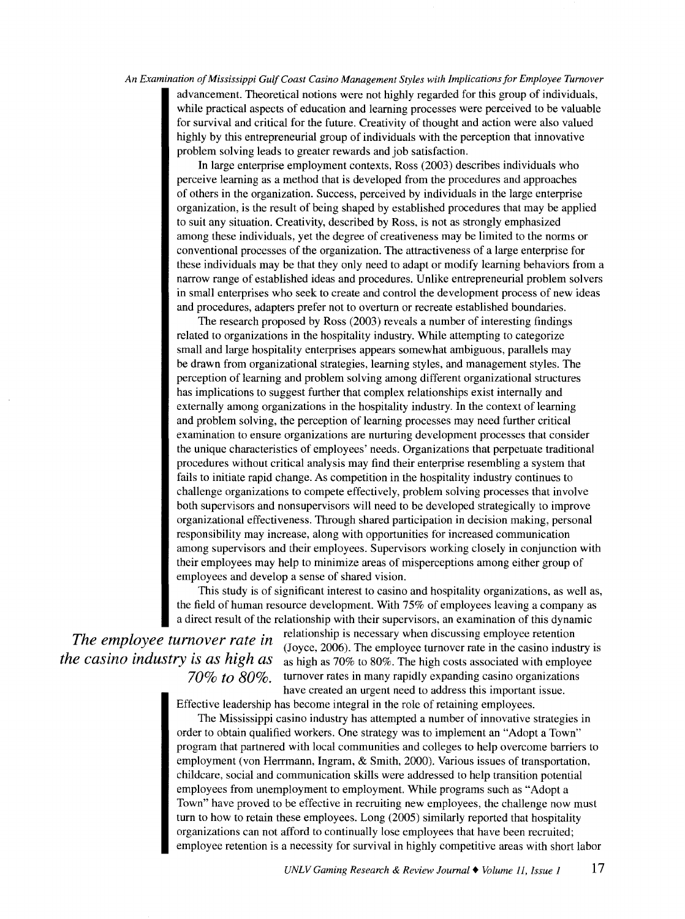advancement. Theoretical notions were not highly regarded for this group of individuals, while practical aspects of education and learning processes were perceived to be valuable for survival and critical for the future. Creativity of thought and action were also valued highly by this entrepreneurial group of individuals with the perception that innovative problem solving leads to greater rewards and job satisfaction.

In large enterprise employment contexts, Ross (2003) describes individuals who perceive learning as a method that is developed from the procedures and approaches of others in the organization. Success, perceived by individuals in the large enterprise organization, is the result of being shaped by established procedures that may be applied to suit any situation. Creativity, described by Ross, is not as strongly emphasized among these individuals, yet the degree of creativeness may be limited to the norms or conventional processes of the organization. The attractiveness of a large enterprise for these individuals may be that they only need to adapt or modify learning behaviors from a narrow range of established ideas and procedures. Unlike entrepreneurial problem solvers in small enterprises who seek to create and control the development process of new ideas and procedures, adapters prefer not to overturn or recreate established boundaries.

The research proposed by Ross (2003) reveals a number of interesting findings related to organizations in the hospitality industry. While attempting to categorize small and large hospitality enterprises appears somewhat ambiguous, parallels may be drawn from organizational strategies, learning styles, and management styles. The perception of learning and problem solving among different organizational structures has implications to suggest further that complex relationships exist internally and externally among organizations in the hospitality industry. In the context of learning and problem solving, the perception of learning processes may need further critical examination to ensure organizations are nurturing development processes that consider the unique characteristics of employees' needs. Organizations that perpetuate traditional procedures without critical analysis may find their enterprise resembling a system that fails to initiate rapid change. As competition in the hospitality industry continues to challenge organizations to compete effectively, problem solving processes that involve both supervisors and nonsupervisors will need to be developed strategically to improve organizational effectiveness. Through shared participation in decision making, personal responsibility may increase, along with opportunities for increased communication among supervisors and their employees. Supervisors working closely in conjunction with their employees may help to minimize areas of misperceptions among either group of employees and develop a sense of shared vision.

This study is of significant interest to casino and hospitality organizations, as well as, the field of human resource development. With 75% of employees leaving a company as a direct result of the relationship with their supervisors, an examination of this dynamic

*The employee turnover rate in the casino industry is as high as 70% to 80%.* 

relationship is necessary when discussing employee retention (Joyce, 2006). The employee turnover rate in the casino industry is as high as 70% to 80%. The high costs associated with employee turnover rates in many rapidly expanding casino organizations have created an urgent need to address this important issue.

Effective leadership has become integral in the role of retaining employees.

The Mississippi casino industry has attempted a number of innovative strategies in order to obtain qualified workers. One strategy was to implement an "Adopt a Town" program that partnered with local communities and colleges to help overcome barriers to employment (von Herrmann, Ingram, & Smith, 2000). Various issues of transportation, childcare, social and communication skills were addressed to help transition potential employees from unemployment to employment. While programs such as "Adopt a Town" have proved to be effective in recruiting new employees, the challenge now must turn to how to retain these employees. Long (2005) similarly reported that hospitality organizations can not afford to continually lose employees that have been recruited; employee retention is a necessity for survival in highly competitive areas with short labor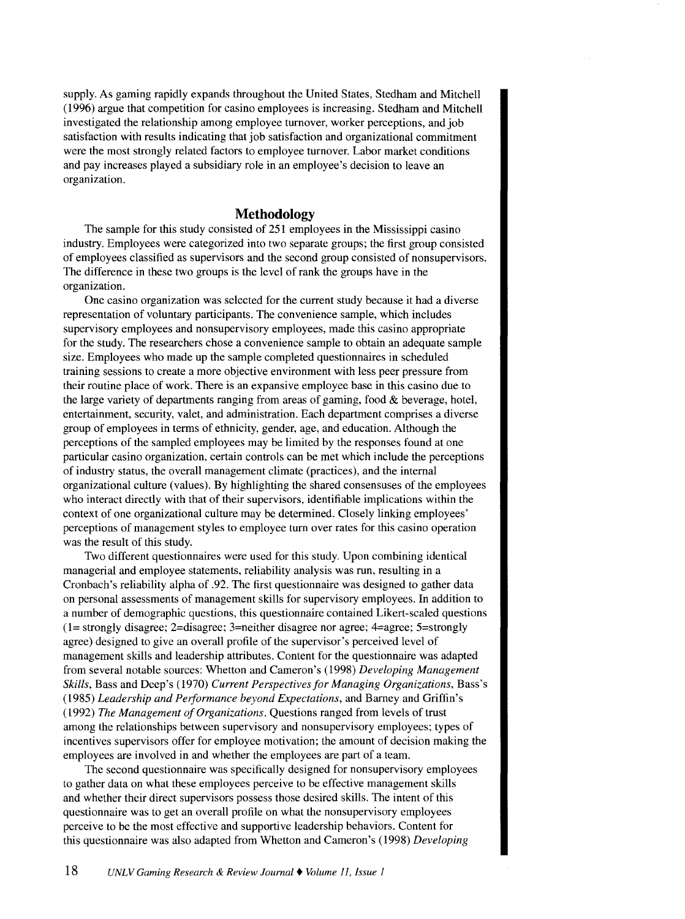supply. As gaming rapidly expands throughout the United States, Stedham and Mitchell (1996) argue that competition for casino employees is increasing. Stedham and Mitchell investigated the relationship among employee turnover, worker perceptions, and job satisfaction with results indicating that job satisfaction and organizational commitment were the most strongly related factors to employee turnover. Labor market conditions and pay increases played a subsidiary role in an employee's decision to leave an organization.

### **Methodology**

The sample for this study consisted of 251 employees in the Mississippi casino industry. Employees were categorized into two separate groups; the first group consisted of employees classified as supervisors and the second group consisted of nonsupervisors. The difference in these two groups is the level of rank the groups have in the organization.

One casino organization was selected for the current study because it had a diverse representation of voluntary participants. The convenience sample, which includes supervisory employees and nonsupervisory employees, made this casino appropriate for the study. The researchers chose a convenience sample to obtain an adequate sample size. Employees who made up the sample completed questionnaires in scheduled training sessions to create a more objective environment with less peer pressure from their routine place of work. There is an expansive employee base in this casino due to the large variety of departments ranging from areas of gaming, food  $&$  beverage, hotel, entertainment, security, valet, and administration. Each department comprises a diverse group of employees in terms of ethnicity, gender, age, and education. Although the perceptions of the sampled employees may be limited by the responses found at one particular casino organization, certain controls can be met which include the perceptions of industry status, the overall management climate (practices), and the internal organizational culture (values). By highlighting the shared consensuses of the employees who interact directly with that of their supervisors, identifiable implications within the context of one organizational culture may be determined. Closely linking employees' perceptions of management styles to employee turn over rates for this casino operation was the result of this study.

Two different questionnaires were used for this study. Upon combining identical managerial and employee statements, reliability analysis was run, resulting in a Cronbach's reliability alpha of .92. The first questionnaire was designed to gather data on personal assessments of management skills for supervisory employees. In addition to a number of demographic questions, this questionnaire contained Likert-scaled questions (1= strongly disagree; 2=disagree; 3=neither disagree nor agree; 4=agree; 5=strongly agree) designed to give an overall profile of the supervisor's perceived level of management skills and leadership attributes. Content for the questionnaire was adapted from several notable sources: Whetton and Cameron's (1998) *Developing Management Skills,* Bass and Deep's (1970) *Current Perspectives for Managing Organizations,* Bass's (1985) *Leadership and Performance beyond Expectations,* and Barney and Griffin's ( 1992) *The Management of Organizations.* Questions ranged from levels of trust among the relationships between supervisory and nonsupervisory employees; types of incentives supervisors offer for employee motivation; the amount of decision making the employees are involved in and whether the employees are part of a team.

The second questionnaire was specifically designed for nonsupervisory employees to gather data on what these employees perceive to be effective management skills and whether their direct supervisors possess those desired skills. The intent of this questionnaire was to get an overall profile on what the nonsupervisory employees perceive to be the most effective and supportive leadership behaviors. Content for this questionnaire was also adapted from Whetton and Cameron's (1998) *Developing*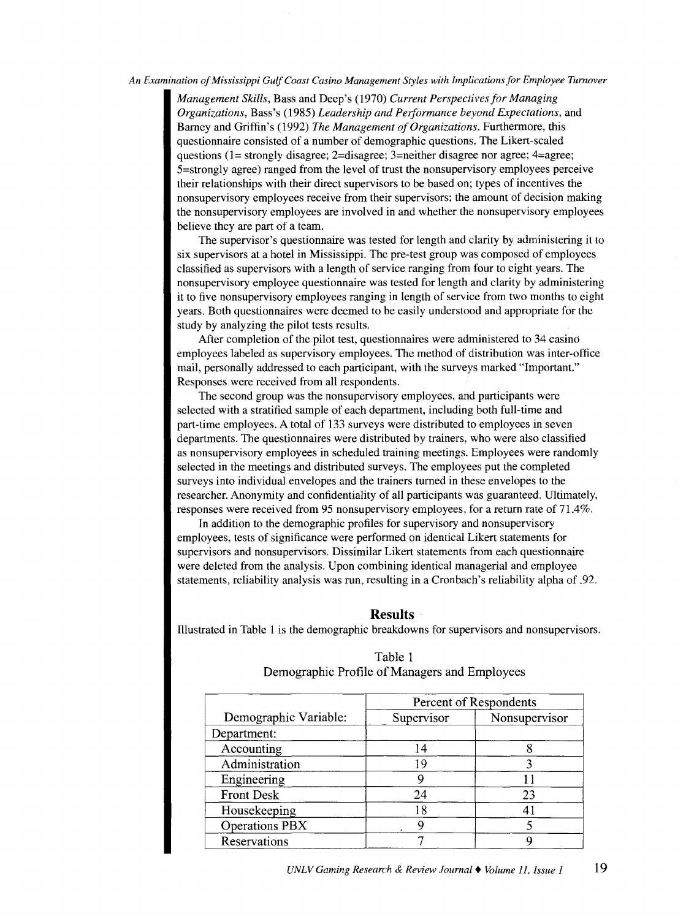*Management Skills,* Bass and Deep's (1970) *Current Perspectives for Managing Organizations,* Bass's (1985) *Leadership and Peiformance beyond Expectations,* and Barney and Griffin's (1992) *The Management of Organizations.* Furthermore, this questionnaire consisted of a number of demographic questions. The Likert-scaled questions (1= strongly disagree; 2=disagree; 3=neither disagree nor agree; 4=agree; 5=strongly agree) ranged from the level of trust the nonsupervisory employees perceive their relationships with their direct supervisors to be based on; types of incentives the nonsupervisory employees receive from their supervisors; the amount of decision making the nonsupervisory employees are involved in and whether the nonsupervisory employees believe they are part of a team.

The supervisor's questionnaire was tested for length and clarity by administering it to six supervisors at a hotel in Mississippi. The pre-test group was composed of employees classified as supervisors with a length of service ranging from four to eight years. The nonsupervisory employee questionnaire was tested for length and clarity by administering it to five nonsupervisory employees ranging in length of service from two months to eight years. Both questionnaires were deemed to be easily understood and appropriate for the study by analyzing the pilot tests results.

After completion of the pilot test, questionnaires were administered to 34 casino employees labeled as supervisory employees. The method of distribution was inter-office mail, personally addressed to each participant, with the surveys marked "Important." Responses were received from all respondents.

The second group was the nonsupervisory employees, and participants were selected with a stratified sample of each department, including both full-time and part-time employees. A total of 133 surveys were distributed to employees in seven departments. The questionnaires were distributed by trainers, who were also classified as nonsupervisory employees in scheduled training meetings. Employees were randomly selected in the meetings and distributed surveys. The employees put the completed surveys into individual envelopes and the trainers turned in these envelopes to the researcher. Anonymity and confidentiality of all participants was guaranteed. Ultimately, responses were received from 95 nonsupervisory employees, for a return rate of 71.4%.

In addition to the demographic profiles for supervisory and nonsupervisory employees, tests of significance were performed on identical Likert statements for supervisors and nonsupervisors. Dissimilar Likert statements from each questionnaire were deleted from the analysis. Upon combining identical managerial and employee statements, reliability analysis was run, resulting in a Cronbach's reliability alpha of .92.

#### **Results**

Illustrated in Table 1 is the demographic breakdowns for supervisors and nonsupervisors.

|                       | Percent of Respondents |               |  |  |  |
|-----------------------|------------------------|---------------|--|--|--|
| Demographic Variable: | Supervisor             | Nonsupervisor |  |  |  |
| Department:           |                        |               |  |  |  |
| Accounting            | 14                     |               |  |  |  |
| Administration        | 19                     |               |  |  |  |
| Engineering           |                        |               |  |  |  |
| <b>Front Desk</b>     | 24                     | 23            |  |  |  |
| Housekeeping          | 18                     |               |  |  |  |
| <b>Operations PBX</b> | Q                      |               |  |  |  |
| Reservations          |                        |               |  |  |  |

## Table 1 Demographic Profile of Managers and Employees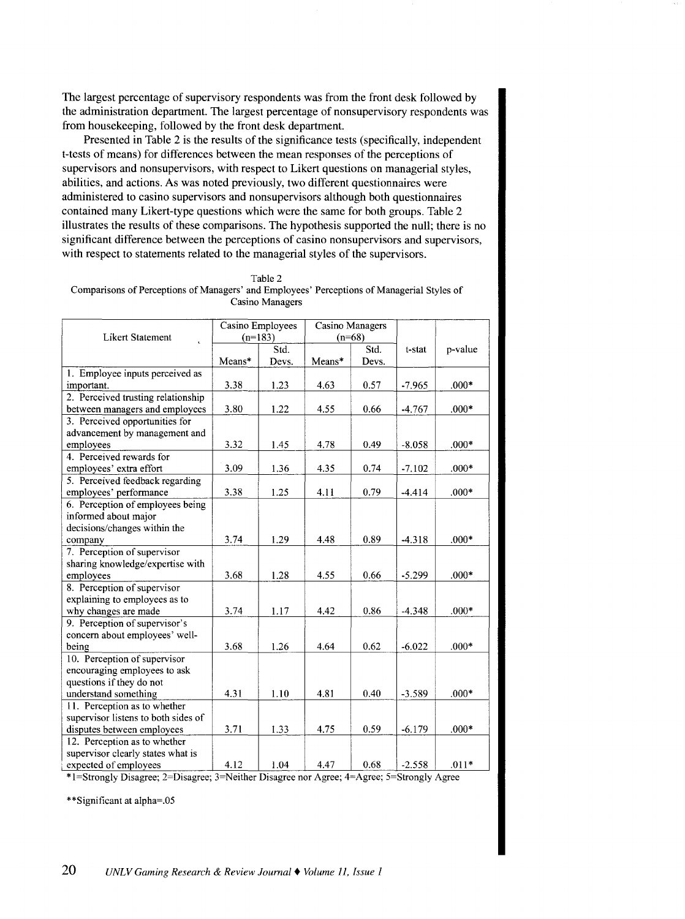The largest percentage of supervisory respondents was from the front desk followed by the administration department. The largest percentage of nonsupervisory respondents was from housekeeping, followed by the front desk department.

Presented in Table 2 is the results of the significance tests (specifically, independent t-tests of means) for differences between the mean responses of the perceptions of supervisors and nonsupervisors, with respect to Likert questions on managerial styles, abilities, and actions. As was noted previously, two different questionnaires were administered to casino supervisors and nonsupervisors although both questionnaires contained many Likert-type questions which were the same for both groups. Table 2 illustrates the results of these comparisons. The hypothesis supported the **null;** there is no significant difference between the perceptions of casino nonsupervisors and supervisors, with respect to statements related to the managerial styles of the supervisors.

| Table 2                                                                                    |
|--------------------------------------------------------------------------------------------|
| Comparisons of Perceptions of Managers' and Employees' Perceptions of Managerial Styles of |
| Casino Managers                                                                            |

| <b>Likert Statement</b>             | Casino Employees<br>$(n=183)$ |       | Casino Managers<br>$(n=68)$ |       |          |         |
|-------------------------------------|-------------------------------|-------|-----------------------------|-------|----------|---------|
|                                     |                               | Std.  |                             | Std.  | t-stat   | p-value |
|                                     | Means*                        | Devs. | Means*                      | Devs. |          |         |
| 1. Employee inputs perceived as     |                               |       |                             |       |          |         |
| important.                          | 3.38                          | 1.23  | 4.63                        | 0.57  | $-7.965$ | $.000*$ |
| 2. Perceived trusting relationship  |                               |       |                             |       |          |         |
| between managers and employees      | 3.80                          | 1.22  | 4.55                        | 0.66  | $-4.767$ | $.000*$ |
| 3. Perceived opportunities for      |                               |       |                             |       |          |         |
| advancement by management and       |                               |       |                             |       |          |         |
| employees                           | 3.32                          | 1.45  | 4.78                        | 0.49  | $-8.058$ | $.000*$ |
| 4. Perceived rewards for            |                               |       |                             |       |          |         |
| employees' extra effort             | 3.09                          | 1.36  | 4.35                        | 0.74  | $-7.102$ | $.000*$ |
| 5. Perceived feedback regarding     |                               |       |                             |       |          |         |
| employees' performance              | 3.38                          | 1.25  | 4.11                        | 0.79  | $-4.414$ | $.000*$ |
| 6. Perception of employees being    |                               |       |                             |       |          |         |
| informed about major                |                               |       |                             |       |          |         |
| decisions/changes within the        |                               |       |                             |       |          |         |
| company                             | 3.74                          | 1.29  | 4.48                        | 0.89  | $-4.318$ | $.000*$ |
| 7. Perception of supervisor         |                               |       |                             |       |          |         |
| sharing knowledge/expertise with    |                               |       |                             |       |          |         |
| employees                           | 3.68                          | 1.28  | 4.55                        | 0.66  | $-5.299$ | $.000*$ |
| 8. Perception of supervisor         |                               |       |                             |       |          |         |
| explaining to employees as to       |                               |       |                             |       |          |         |
| why changes are made                | 3.74                          | 1.17  | 4.42                        | 0.86  | $-4.348$ | $.000*$ |
| 9. Perception of supervisor's       |                               |       |                             |       |          |         |
| concern about employees' well-      |                               |       |                             |       |          |         |
| being                               | 3.68                          | 1.26  | 4.64                        | 0.62  | $-6.022$ | $.000*$ |
| 10. Perception of supervisor        |                               |       |                             |       |          |         |
| encouraging employees to ask        |                               |       |                             |       |          |         |
| questions if they do not            |                               |       |                             |       |          |         |
| understand something                | 4.31                          | 1.10  | 4.81                        | 0.40  | $-3.589$ | $.000*$ |
| 11. Perception as to whether        |                               |       |                             |       |          |         |
| supervisor listens to both sides of |                               |       |                             |       |          |         |
| disputes between employees          | 3.71                          | 1.33  | 4.75                        | 0.59  | $-6.179$ | $.000*$ |
| 12. Perception as to whether        |                               |       |                             |       |          |         |
| supervisor clearly states what is   |                               |       |                             |       |          |         |
| expected of employees               | 4.12                          | 1.04  | 4.47                        | 0.68  | $-2.558$ | $.011*$ |

\* 1 =Strongly Disagree; 2=Disagree; 3=Neither Disagree nor Agree; 4=Agree; 5=Strongly Agree

\*\*Significant at alpha=.05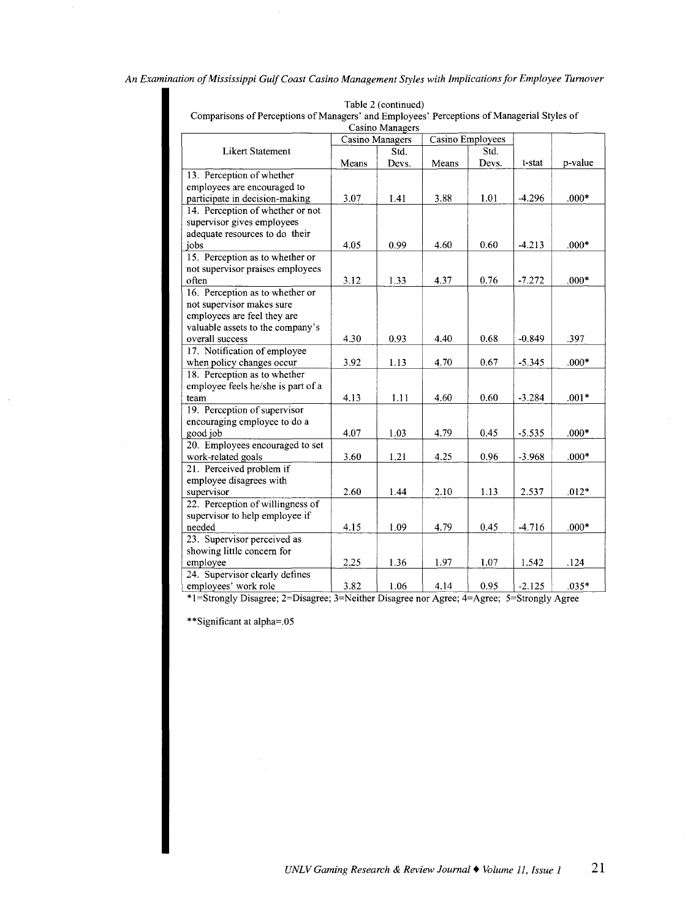| Comparisons or i ciceptions of managers -and Employees -1 ciceptions of managerial styles of |                 | Casino Managers |                  |       |          |         |
|----------------------------------------------------------------------------------------------|-----------------|-----------------|------------------|-------|----------|---------|
|                                                                                              | Casino Managers |                 | Casino Employees |       |          |         |
| <b>Likert Statement</b>                                                                      |                 | Std.            |                  | Std.  |          |         |
|                                                                                              | Means           | Devs.           | Means            | Devs. | t-stat   | p-value |
| 13. Perception of whether                                                                    |                 |                 |                  |       |          |         |
| employees are encouraged to                                                                  |                 |                 |                  |       |          |         |
| participate in decision-making                                                               | 3.07            | 1.41            | 3.88             | 1.01  | $-4.296$ | $.000*$ |
| 14. Perception of whether or not                                                             |                 |                 |                  |       |          |         |
| supervisor gives employees                                                                   |                 |                 |                  |       |          |         |
| adequate resources to do their                                                               |                 |                 |                  |       |          |         |
| jobs                                                                                         | 4.05            | 0.99            | 4.60             | 0.60  | $-4.213$ | $.000*$ |
| 15. Perception as to whether or                                                              |                 |                 |                  |       |          |         |
| not supervisor praises employees                                                             |                 |                 |                  |       |          |         |
| often                                                                                        | 3.12            | 1.33            | 4.37             | 0.76  | $-7.272$ | $.000*$ |
| 16. Perception as to whether or                                                              |                 |                 |                  |       |          |         |
| not supervisor makes sure                                                                    |                 |                 |                  |       |          |         |
| employees are feel they are                                                                  |                 |                 |                  |       |          |         |
| valuable assets to the company's                                                             |                 |                 |                  |       |          |         |
| overall success                                                                              | 4.30            | 0.93            | 4.40             | 0.68  | $-0.849$ | .397    |
| 17. Notification of employee                                                                 |                 |                 |                  |       |          |         |
| when policy changes occur                                                                    | 3.92            | 1.13            | 4.70             | 0.67  | $-5.345$ | $.000*$ |
| 18. Perception as to whether                                                                 |                 |                 |                  |       |          |         |
| employee feels he/she is part of a                                                           |                 |                 |                  |       |          |         |
| team                                                                                         | 4.13            | 1.11            | 4.60             | 0.60  | $-3.284$ | $.001*$ |
| 19. Perception of supervisor                                                                 |                 |                 |                  |       |          |         |
| encouraging employee to do a                                                                 |                 |                 |                  |       |          |         |
| good job                                                                                     | 4.07            | 1.03            | 4.79             | 0.45  | $-5.535$ | $.000*$ |
| 20. Employees encouraged to set                                                              |                 |                 |                  |       |          |         |
| work-related goals                                                                           | 3.60            | 1.21            | 4.25             | 0.96  | $-3.968$ | $.000*$ |
| 21. Perceived problem if                                                                     |                 |                 |                  |       |          |         |
| employee disagrees with                                                                      |                 |                 |                  |       |          |         |
| supervisor                                                                                   | 2.60            | 1.44            | 2.10             | 1.13  | 2.537    | $.012*$ |
| 22. Perception of willingness of                                                             |                 |                 |                  |       |          |         |
| supervisor to help employee if                                                               |                 |                 |                  |       |          |         |
| needed                                                                                       | 4.15            | 1.09            | 4.79             | 0.45  | $-4.716$ | $.000*$ |
| 23. Supervisor perceived as                                                                  |                 |                 |                  |       |          |         |
| showing little concern for                                                                   |                 |                 |                  |       |          |         |
| employee                                                                                     | 2.25            | 1.36            | 1.97             | 1.07  | 1.542    | .124    |
| 24. Supervisor clearly defines                                                               |                 |                 |                  |       |          |         |
| employees' work role                                                                         | 3.82            | 1.06            | 4.14             | 0.95  | $-2.125$ | $.035*$ |

Table 2 (continued)

Comparisons of Perceptions of Managers' and Employees' Perceptions of Managerial Styles of

\* 1 =Strongly D1sagree; 2=D1sagree; 3=Neither D1sagree nor Agree; 4=Agree; 5=Strongly Agree

\*\*Significant at alpha=.05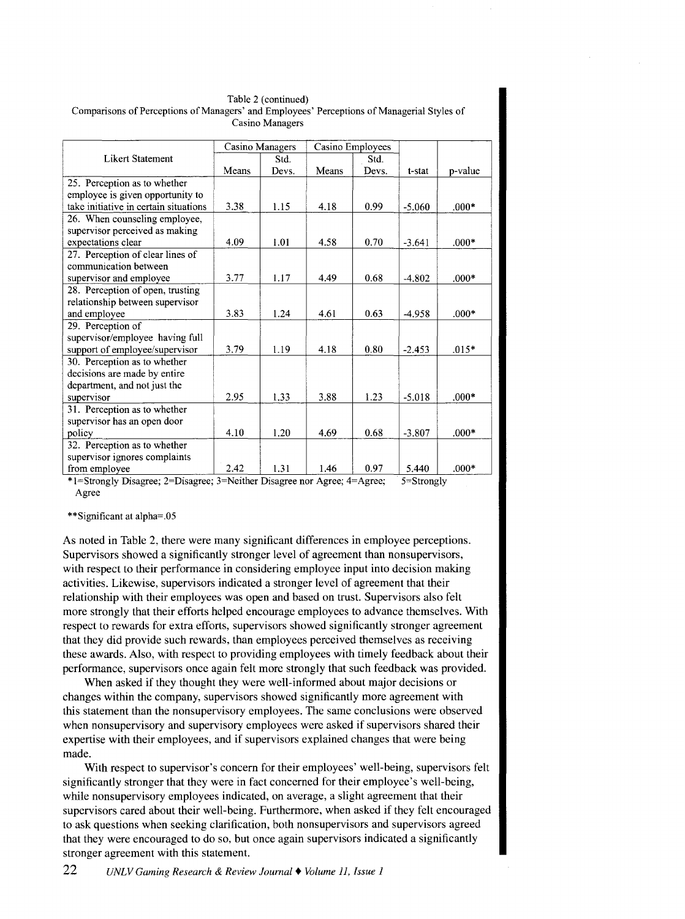| Table 2 (continued)                                                                        |  |  |  |  |  |  |
|--------------------------------------------------------------------------------------------|--|--|--|--|--|--|
| Comparisons of Perceptions of Managers' and Employees' Perceptions of Managerial Styles of |  |  |  |  |  |  |
| Casino Managers                                                                            |  |  |  |  |  |  |

| Casino Managers |       | Casino Employees                 |       |                             |                                 |
|-----------------|-------|----------------------------------|-------|-----------------------------|---------------------------------|
|                 | Std.  |                                  | Std.  |                             |                                 |
| Means           | Devs. | Means                            | Devs. | t-stat                      | p-value                         |
|                 |       |                                  |       |                             |                                 |
|                 |       |                                  |       |                             |                                 |
| 3.38            | 1.15  | 4.18                             | 0.99  | $-5.060$                    | $.000*$                         |
|                 |       |                                  |       |                             |                                 |
|                 |       |                                  |       |                             |                                 |
| 4.09            | 1.01  | 4.58                             | 0.70  | $-3.641$                    | $.000*$                         |
|                 |       |                                  |       |                             |                                 |
|                 |       |                                  |       |                             |                                 |
| 3.77            | 1.17  | 4.49                             | 0.68  | $-4.802$                    | $.000*$                         |
|                 |       |                                  |       |                             |                                 |
|                 |       |                                  |       |                             |                                 |
| 3.83            | 1.24  | 4.61                             | 0.63  | $-4.958$                    | $.000*$                         |
|                 |       |                                  |       |                             |                                 |
|                 |       |                                  |       |                             |                                 |
| 3.79            | 1.19  | 4.18                             | 0.80  | $-2.453$                    | $.015*$                         |
|                 |       |                                  |       |                             |                                 |
|                 |       |                                  |       |                             |                                 |
|                 |       |                                  |       |                             |                                 |
|                 | 1.33  |                                  | 1.23  | $-5.018$                    | $000*$                          |
|                 |       |                                  |       |                             |                                 |
|                 |       |                                  |       |                             |                                 |
| 4.10            | 1.20  | 4.69                             | 0.68  | $-3.807$                    | $.000*$                         |
|                 |       |                                  |       |                             |                                 |
|                 |       |                                  |       |                             |                                 |
| 2.42            | 1.31  | 1.46                             | 0.97  | 5.440                       | $.000*$                         |
|                 | 2.95  | *1-Charles Discourse 2-Discourse | 3.88  | $2-N\left\{\lambda\right\}$ | $\epsilon$ - C to a set of less |

\*!=Strongly Disagree; 2=Disagree; 3=Neither Disagree nor Agree; 4=Agree; 5=Strongly Agree

#### \*\*Significant at alpha=.05

As noted in Table 2, there were many significant differences in employee perceptions. Supervisors showed a significantly stronger level of agreement than nonsupervisors, with respect to their performance in considering employee input into decision making activities. Likewise, supervisors indicated a stronger level of agreement that their relationship with their employees was open and based on trust. Supervisors also felt more strongly that their efforts helped encourage employees to advance themselves. With respect to rewards for extra efforts, supervisors showed significantly stronger agreement that they did provide such rewards, than employees perceived themselves as receiving these awards. Also, with respect to providing employees with timely feedback about their performance, supervisors once again felt more strongly that such feedback was provided.

When asked if they thought they were well-informed about major decisions or changes within the company, supervisors showed significantly more agreement with this statement than the nonsupervisory employees. The same conclusions were observed when nonsupervisory and supervisory employees were asked if supervisors shared their expertise with their employees, and if supervisors explained changes that were being made.

With respect to supervisor's concern for their employees' well-being, supervisors felt significantly stronger that they were in fact concerned for their employee's well-being, while nonsupervisory employees indicated, on average, a slight agreement that their supervisors cared about their well-being. Furthermore, when asked if they felt encouraged to ask questions when seeking clarification, both nonsupervisors and supervisors agreed that they were encouraged to do so, but once again supervisors indicated a significantly stronger agreement with this statement.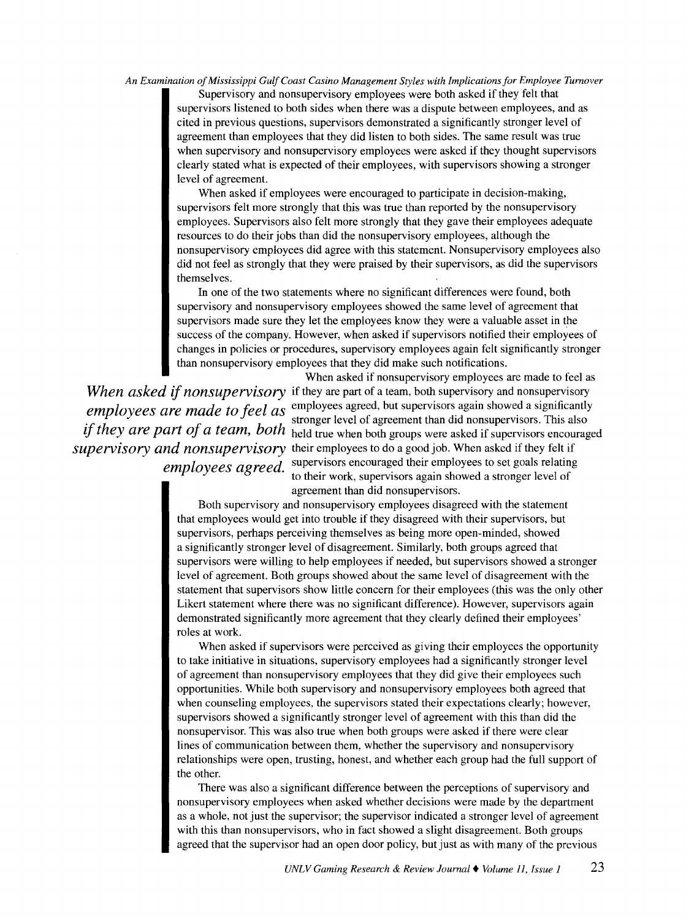Supervisory and nonsupervisory employees were both asked if they felt that supervisors listened to both sides when there was a dispute between employees, and as cited in previous questions, supervisors demonstrated a significantly stronger level of agreement than employees that they did listen to both sides. The same result was true when supervisory and nonsupervisory employees were asked if they thought supervisors clearly stated what is expected of their employees, with supervisors showing a stronger level of agreement.

When asked if employees were encouraged to participate in decision-making, supervisors felt more strongly that this was true than reported by the nonsupervisory employees. Supervisors also felt more strongly that they gave their employees adequate resources to do their jobs than did the nonsupervisory employees, although the nonsupervisory employees did agree with this statement. Nonsupervisory employees also did not feel as strongly that they were praised by their supervisors, as did the supervisors themselves.

In one of the two statements where no significant differences were found, both supervisory and nonsupervisory employees showed the same level of agreement that supervisors made sure they let the employees know they were a valuable asset in the success of the company. However, when asked if supervisors notified their employees of changes in policies or procedures, supervisory employees again felt significantly stronger than nonsupervisory employees that they did make such notifications.

When asked if nonsupervisory employees are made to feel as *When asked* if *nonsupervisory* if they are part of a team, both supervisory and nonsupervisory *employees are made to feel as* employees agreed, but supervisors again showed a significantly<br>stronger level of agreement than did nonsupervisors. This also if they are part of a team, both held true when both groups were asked if supervisors encouraged *supervisory and nonsupervisory* their employees to do a good job. When asked if they felt if *employees agreed.* supervisors encouraged their employees to set goals relating to their work, supervisors agam showed a stronger level of agreement than did nonsupervisors.

> Both supervisory and nonsupervisory employees disagreed with the statement that employees would get into trouble if they disagreed with their supervisors, but supervisors, perhaps perceiving themselves as being more open-minded, showed a significantly stronger level of disagreement. Similarly, both groups agreed that supervisors were willing to help employees if needed, but supervisors showed a stronger level of agreement. Both groups showed about the same level of disagreement with the statement that supervisors show little concern for their employees (this was the only other Likert statement where there was no significant difference). However, supervisors again demonstrated significantly more agreement that they clearly defined their employees' roles at work.

When asked if supervisors were perceived as giving their employees the opportunity to take initiative in situations, supervisory employees had a significantly stronger level of agreement than nonsupervisory employees that they did give their employees such opportunities. While both supervisory and nonsupervisory employees both agreed that when counseling employees, the supervisors stated their expectations clearly; however, supervisors showed a significantly stronger level of agreement with this than did the nonsupervisor. This was also true when both groups were asked if there were clear lines of communication between them, whether the supervisory and nonsupervisory relationships were open, trusting, honest, and whether each group had the full support of the other.

There was also a significant difference between the perceptions of supervisory and nonsupervisory employees when asked whether decisions were made by the department as a whole, not just the supervisor; the supervisor indicated a stronger level of agreement with this than nonsupervisors, who in fact showed a slight disagreement. Both groups agreed that the supervisor had an open door policy, but just as with many of the previous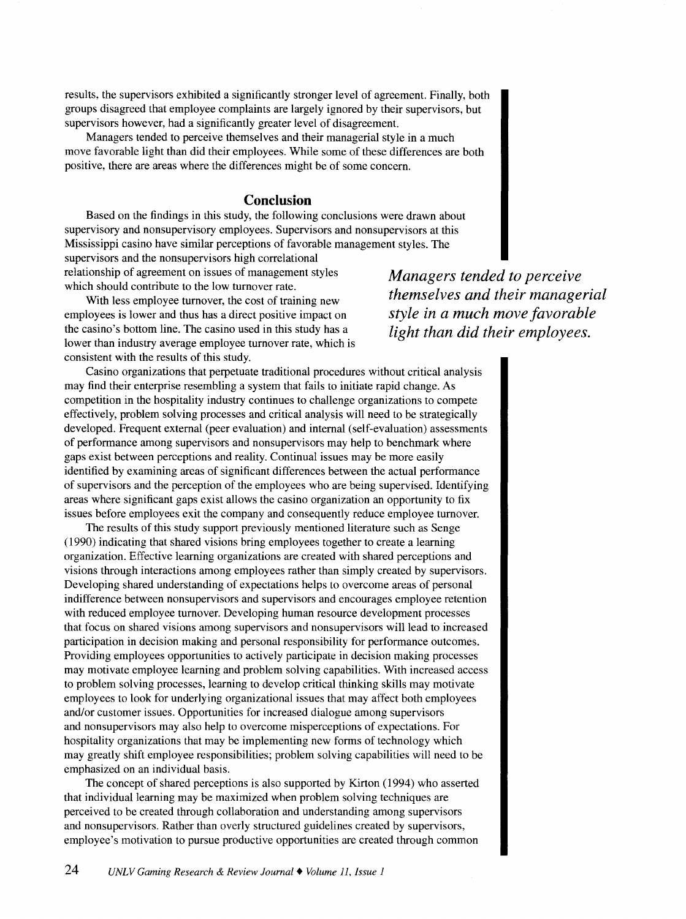results, the supervisors exhibited a significantly stronger level of agreement. Finally, both groups disagreed that employee complaints are largely ignored by their supervisors, but supervisors however, had a significantly greater level of disagreement.

Managers tended to perceive themselves and their managerial style in a much move favorable light than did their employees. While some of these differences are both positive, there are areas where the differences might be of some concern.

## **Conclusion**

Based on the findings in this study, the following conclusions were drawn about supervisory and nonsupervisory employees. Supervisors and nonsupervisors at this Mississippi casino have similar perceptions of favorable management styles. The supervisors and the nonsupervisors high correlational relationship of agreement on issues of management styles which should contribute to the low turnover rate.

With less employee turnover, the cost of training new employees is lower and thus has a direct positive impact on the casino's bottom line. The casino used in this study has a lower than industry average employee turnover rate, which is consistent with the results of this study.

*Managers tended to perceive themselves and their managerial style in a much move favorable light than did their employees.* 

Casino organizations that perpetuate traditional procedures without critical analysis may find their enterprise resembling a system that fails to initiate rapid change. As competition in the hospitality industry continues to challenge organizations to compete effectively, problem solving processes and critical analysis will need to be strategically developed. Frequent external (peer evaluation) and internal (self-evaluation) assessments of performance among supervisors and nonsupervisors may help to benchmark where gaps exist between perceptions and reality. Continual issues may be more easily identified by examining areas of significant differences between the actual performance of supervisors and the perception of the employees who are being supervised. Identifying areas where significant gaps exist allows the casino organization an opportunity to fix issues before employees exit the company and consequently reduce employee turnover.

The results of this study support previously mentioned literature such as Senge (1990) indicating that shared visions bring employees together to create a learning organization. Effective learning organizations are created with shared perceptions and visions through interactions among employees rather than simply created by supervisors. Developing shared understanding of expectations helps to overcome areas of personal indifference between nonsupervisors and supervisors and encourages employee retention with reduced employee turnover. Developing human resource development processes that focus on shared visions among supervisors and nonsupervisors will lead to increased participation in decision making and personal responsibility for performance outcomes. Providing employees opportunities to actively participate in decision making processes may motivate employee learning and problem solving capabilities. With increased access to problem solving processes, learning to develop critical thinking skills may motivate employees to look for underlying organizational issues that may affect both employees and/or customer issues. Opportunities for increased dialogue among supervisors and nonsupervisors may also help to overcome misperceptions of expectations. For hospitality organizations that may be implementing new forms of technology which may greatly shift employee responsibilities; problem solving capabilities will need to be emphasized on an individual basis.

The concept of shared perceptions is also supported by Kirton (1994) who asserted that individual learning may be maximized when problem solving techniques are perceived to be created through collaboration and understanding among supervisors and nonsupervisors. Rather than overly structured guidelines created by supervisors, employee's motivation to pursue productive opportunities are created through common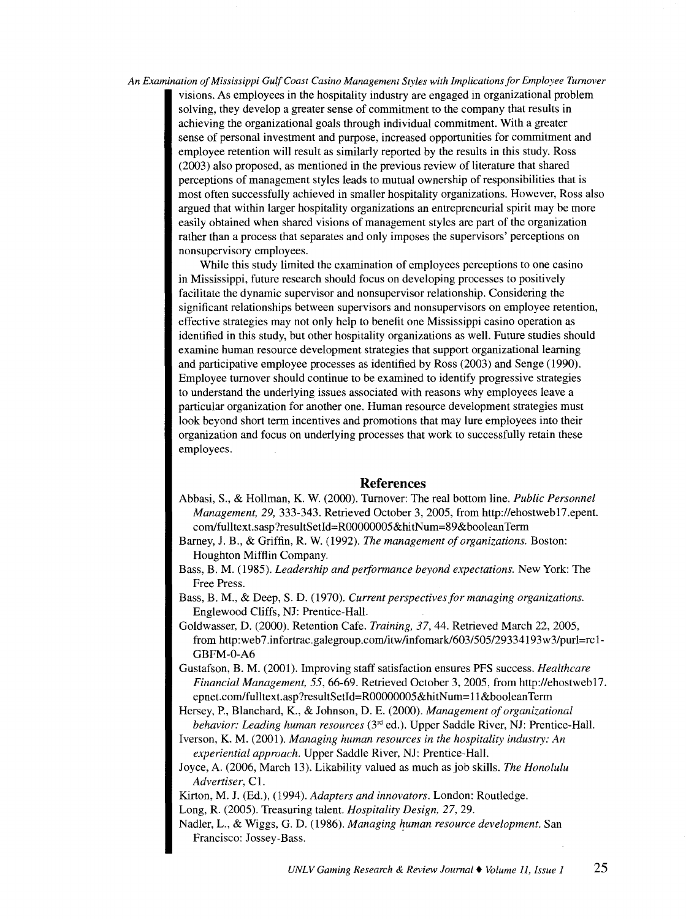visions. As employees in the hospitality industry are engaged in organizational problem solving, they develop a greater sense of commitment to the company that results in achieving the organizational goals through individual commitment. With a greater sense of personal investment and purpose, increased opportunities for commitment and employee retention will result as similarly reported by the results in this study. Ross (2003) also proposed, as mentioned in the previous review of literature that shared perceptions of management styles leads to mutual ownership of responsibilities that is most often successfully achieved in smaller hospitality organizations. However, Ross also argued that within larger hospitality organizations an entrepreneurial spirit may be more easily obtained when shared visions of management styles are part of the organization rather than a process that separates and only imposes the supervisors' perceptions on nonsupervisory employees.

While this study limited the examination of employees perceptions to one casino in Mississippi, future research should focus on developing processes to positively facilitate the dynamic supervisor and nonsupervisor relationship. Considering the significant relationships between supervisors and nonsupervisors on employee retention, effective strategies may not only help to benefit one Mississippi casino operation as identified in this study, but other hospitality organizations as well. Future studies should examine human resource development strategies that support organizational learning and participative employee processes as identified by Ross (2003) and Senge (1990). Employee turnover should continue to be examined to identify progressive strategies to understand the underlying issues associated with reasons why employees leave a particular organization for another one. Human resource development strategies must look beyond short term incentives and promotions that may lure employees into their organization and focus on underlying processes that work to successfully retain these employees.

#### **References**

- Abbasi, S., & Hollman, K. W. (2000). Turnover: The real bottom line. *Public Personnel Management, 29,* 333-343. Retrieved October 3, 2005, from http://ehostweb17.epent. com/fulltext.sasp?resultSetld=R00000005&hitNum=89&booleanTerm
- Barney, J. B., & Griffin, R. W. (1992). *The management of organizations.* Boston: Houghton Mifflin Company.
- Bass, B. M. (1985). *Leadership and performance beyond expectations.* New York: The Free Press.
- Bass, B. M., & Deep, S.D. (1970). *Current perspectives for managing organizations.*  Englewood Cliffs, NJ: Prentice-Hall.
- Goldwasser, D. (2000). Retention Cafe. *Training, 37,* 44. Retrieved March 22, 2005, from http:web 7 .infortrac.galegroup.com/itw/infomark/603/505/29334193w3/purl=rc 1- GBFM-0-A6
- Gustafson, B. M. (2001). Improving staff satisfaction ensures PFS success. *Healthcare Financial Management,* 55,66-69. Retrieved October 3, 2005, from http://ehostweb17. epnet.com/fulltext.asp?resultSetId=R00000005&hitNum=11&booleanTerm
- Hersey, P., Blanchard, K., & Johnson, D. E. (2000). *Management of organizational behavior: Leading human resources* (3'd ed.). Upper Saddle River, NJ: Prentice-Hall.
- Iverson, K. M. (2001). *Managing human resources in the hospitality industry: An experiential approach.* Upper Saddle River, NJ: Prentice-Hall.
- Joyce, A. (2006, March 13). Likability valued as much as job skills. *The Honolulu*  Advertiser, C1.

Kirton, M. J. (Ed.), (1994). *Adapters and innovators.* London: Routledge. Long, R. (2005). Treasuring talent. *Hospitality Design,* 27, 29.

Nadler, L., & Wiggs, G. D. (1986). *Managing human resource development*. San Francisco: Jossey-Bass.